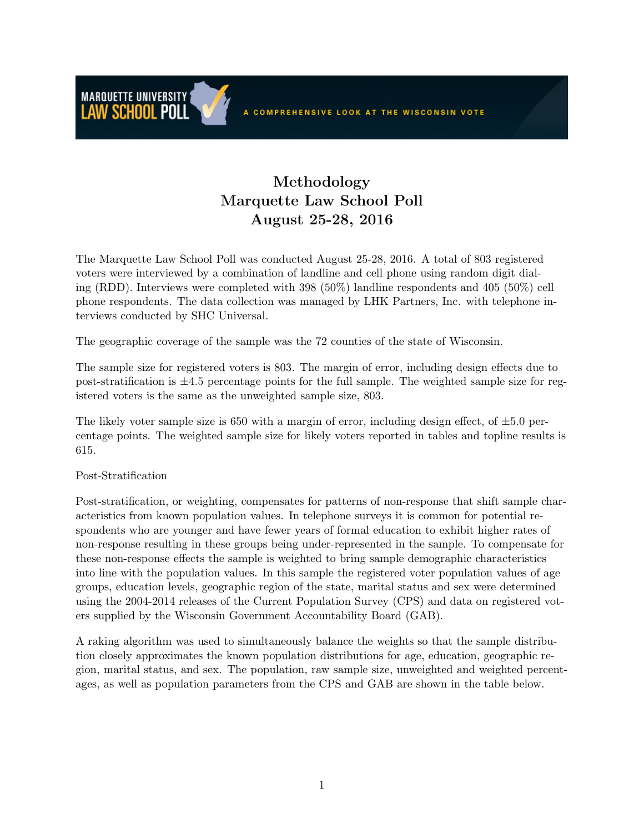## Methodology Marquette Law School Poll August 25-28, 2016

The Marquette Law School Poll was conducted August 25-28, 2016. A total of 803 registered voters were interviewed by a combination of landline and cell phone using random digit dialing (RDD). Interviews were completed with 398 (50%) landline respondents and 405 (50%) cell phone respondents. The data collection was managed by LHK Partners, Inc. with telephone interviews conducted by SHC Universal.

The geographic coverage of the sample was the 72 counties of the state of Wisconsin.

The sample size for registered voters is 803. The margin of error, including design effects due to post-stratification is  $\pm 4.5$  percentage points for the full sample. The weighted sample size for registered voters is the same as the unweighted sample size, 803.

The likely voter sample size is 650 with a margin of error, including design effect, of  $\pm 5.0$  percentage points. The weighted sample size for likely voters reported in tables and topline results is 615.

## Post-Stratification

**MARQUETTE UNIVERSITY** LAW SCHOOL POLL

Post-stratification, or weighting, compensates for patterns of non-response that shift sample characteristics from known population values. In telephone surveys it is common for potential respondents who are younger and have fewer years of formal education to exhibit higher rates of non-response resulting in these groups being under-represented in the sample. To compensate for these non-response effects the sample is weighted to bring sample demographic characteristics into line with the population values. In this sample the registered voter population values of age groups, education levels, geographic region of the state, marital status and sex were determined using the 2004-2014 releases of the Current Population Survey (CPS) and data on registered voters supplied by the Wisconsin Government Accountability Board (GAB).

A raking algorithm was used to simultaneously balance the weights so that the sample distribution closely approximates the known population distributions for age, education, geographic region, marital status, and sex. The population, raw sample size, unweighted and weighted percentages, as well as population parameters from the CPS and GAB are shown in the table below.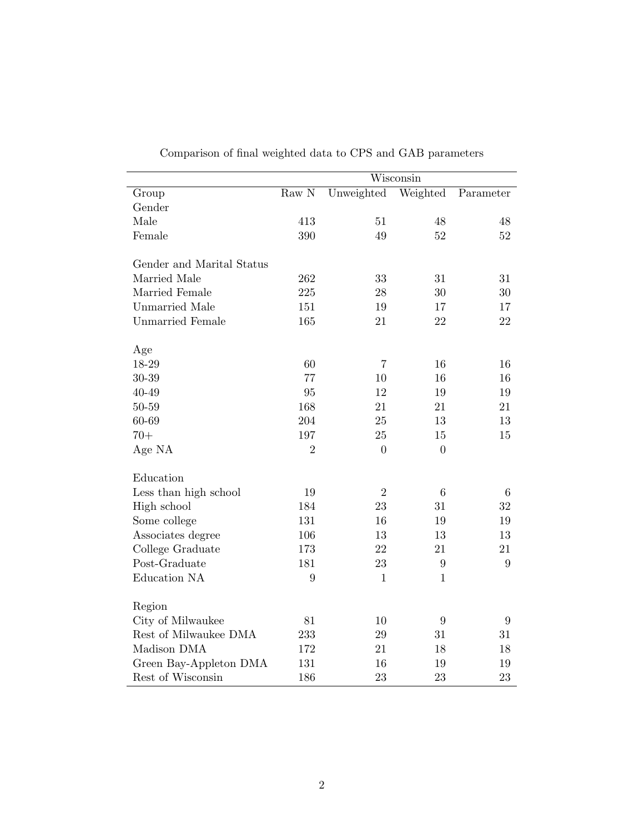|                           | Wisconsin        |                |                  |           |
|---------------------------|------------------|----------------|------------------|-----------|
| Group                     | $\rm Raw~N$      | Unweighted     | Weighted         | Parameter |
| Gender                    |                  |                |                  |           |
| Male                      | 413              | 51             | 48               | 48        |
| Female                    | 390              | 49             | 52               | 52        |
| Gender and Marital Status |                  |                |                  |           |
| Married Male              | 262              | 33             | 31               | 31        |
| Married Female            | 225              | 28             | 30               | 30        |
| <b>Unmarried Male</b>     | 151              | 19             | 17               | 17        |
| <b>Unmarried Female</b>   | 165              | 21             | 22               | 22        |
| Age                       |                  |                |                  |           |
| 18-29                     | 60               | $\overline{7}$ | 16               | 16        |
| $30 - 39$                 | 77               | 10             | 16               | 16        |
| 40-49                     | 95               | 12             | 19               | 19        |
| 50-59                     | 168              | 21             | 21               | 21        |
| 60-69                     | 204              | 25             | 13               | 13        |
| $70+$                     | 197              | $25\,$         | 15               | 15        |
| Age NA                    | $\overline{2}$   | $\overline{0}$ | $\overline{0}$   |           |
| Education                 |                  |                |                  |           |
| Less than high school     | 19               | $\sqrt{2}$     | 6                | 6         |
| High school               | 184              | 23             | 31               | 32        |
| Some college              | 131              | 16             | 19               | 19        |
| Associates degree         | 106              | 13             | 13               | 13        |
| College Graduate          | 173              | 22             | 21               | 21        |
| Post-Graduate             | 181              | 23             | $\boldsymbol{9}$ | 9         |
| Education NA              | $\boldsymbol{9}$ | $\mathbf{1}$   | $\mathbf{1}$     |           |
| Region                    |                  |                |                  |           |
| City of Milwaukee         | 81               | 10             | 9                | 9         |
| Rest of Milwaukee DMA     | 233              | $\,29$         | 31               | 31        |
| Madison DMA               | 172              | 21             | 18               | 18        |
| Green Bay-Appleton DMA    | 131              | 16             | 19               | 19        |
| Rest of Wisconsin         | 186              | 23             | 23               | 23        |

Comparison of final weighted data to CPS and GAB parameters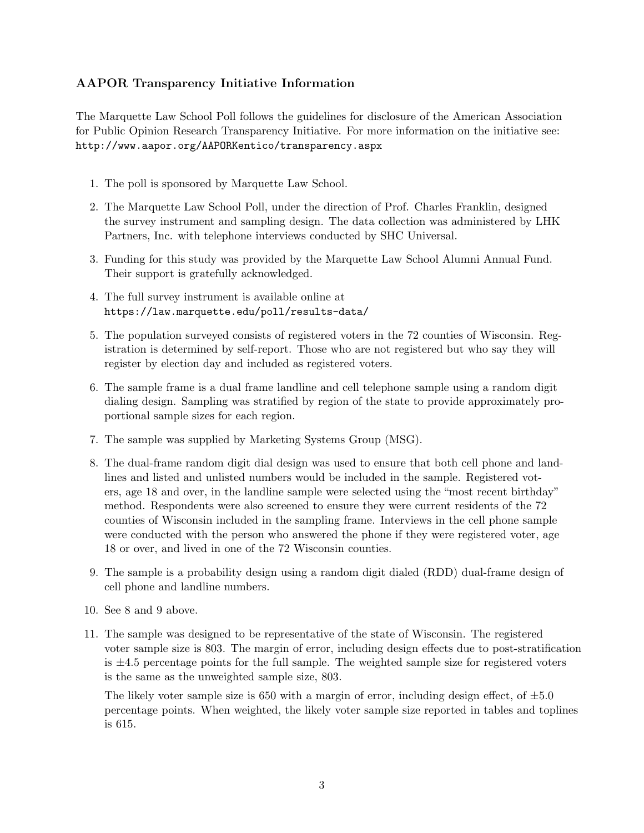## AAPOR Transparency Initiative Information

The Marquette Law School Poll follows the guidelines for disclosure of the American Association for Public Opinion Research Transparency Initiative. For more information on the initiative see: http://www.aapor.org/AAPORKentico/transparency.aspx

- 1. The poll is sponsored by Marquette Law School.
- 2. The Marquette Law School Poll, under the direction of Prof. Charles Franklin, designed the survey instrument and sampling design. The data collection was administered by LHK Partners, Inc. with telephone interviews conducted by SHC Universal.
- 3. Funding for this study was provided by the Marquette Law School Alumni Annual Fund. Their support is gratefully acknowledged.
- 4. The full survey instrument is available online at https://law.marquette.edu/poll/results-data/
- 5. The population surveyed consists of registered voters in the 72 counties of Wisconsin. Registration is determined by self-report. Those who are not registered but who say they will register by election day and included as registered voters.
- 6. The sample frame is a dual frame landline and cell telephone sample using a random digit dialing design. Sampling was stratified by region of the state to provide approximately proportional sample sizes for each region.
- 7. The sample was supplied by Marketing Systems Group (MSG).
- 8. The dual-frame random digit dial design was used to ensure that both cell phone and landlines and listed and unlisted numbers would be included in the sample. Registered voters, age 18 and over, in the landline sample were selected using the "most recent birthday" method. Respondents were also screened to ensure they were current residents of the 72 counties of Wisconsin included in the sampling frame. Interviews in the cell phone sample were conducted with the person who answered the phone if they were registered voter, age 18 or over, and lived in one of the 72 Wisconsin counties.
- 9. The sample is a probability design using a random digit dialed (RDD) dual-frame design of cell phone and landline numbers.
- 10. See 8 and 9 above.
- 11. The sample was designed to be representative of the state of Wisconsin. The registered voter sample size is 803. The margin of error, including design effects due to post-stratification is  $\pm 4.5$  percentage points for the full sample. The weighted sample size for registered voters is the same as the unweighted sample size, 803.

The likely voter sample size is 650 with a margin of error, including design effect, of  $\pm 5.0$ percentage points. When weighted, the likely voter sample size reported in tables and toplines is 615.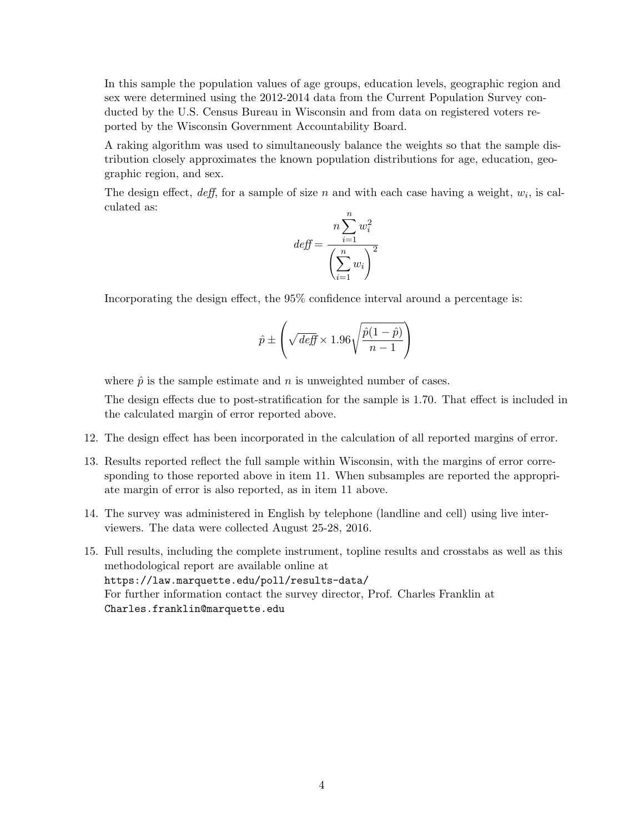In this sample the population values of age groups, education levels, geographic region and sex were determined using the 2012-2014 data from the Current Population Survey conducted by the U.S. Census Bureau in Wisconsin and from data on registered voters reported by the Wisconsin Government Accountability Board.

A raking algorithm was used to simultaneously balance the weights so that the sample distribution closely approximates the known population distributions for age, education, geographic region, and sex.

The design effect,  $\text{deff}$ , for a sample of size n and with each case having a weight,  $w_i$ , is calculated as:

$$
def = \frac{n \sum_{i=1}^{n} w_i^2}{\left(\sum_{i=1}^{n} w_i\right)^2}
$$

Incorporating the design effect, the 95% confidence interval around a percentage is:

$$
\hat{p} \pm \left(\sqrt{\text{def}} \times 1.96\sqrt{\frac{\hat{p}(1-\hat{p})}{n-1}}\right)
$$

where  $\hat{p}$  is the sample estimate and n is unweighted number of cases.

The design effects due to post-stratification for the sample is 1.70. That effect is included in the calculated margin of error reported above.

- 12. The design effect has been incorporated in the calculation of all reported margins of error.
- 13. Results reported reflect the full sample within Wisconsin, with the margins of error corresponding to those reported above in item 11. When subsamples are reported the appropriate margin of error is also reported, as in item 11 above.
- 14. The survey was administered in English by telephone (landline and cell) using live interviewers. The data were collected August 25-28, 2016.
- 15. Full results, including the complete instrument, topline results and crosstabs as well as this methodological report are available online at https://law.marquette.edu/poll/results-data/ For further information contact the survey director, Prof. Charles Franklin at Charles.franklin@marquette.edu